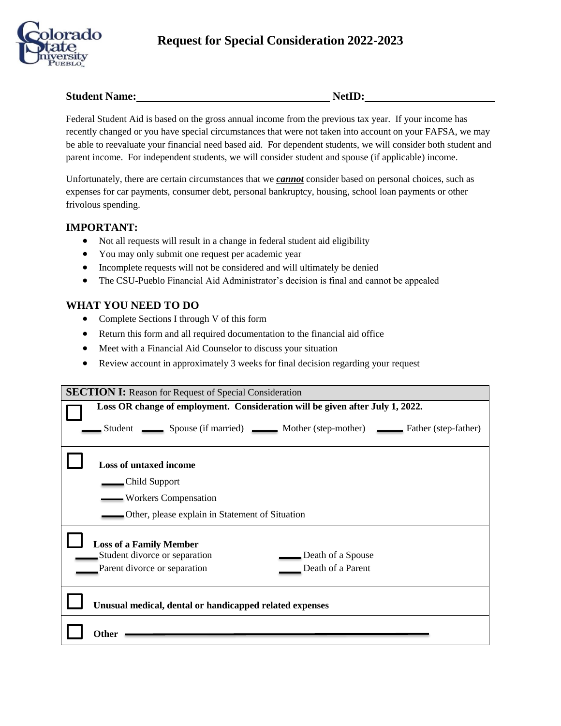

## **Student Name: NetID:**

Federal Student Aid is based on the gross annual income from the previous tax year. If your income has recently changed or you have special circumstances that were not taken into account on your FAFSA, we may be able to reevaluate your financial need based aid. For dependent students, we will consider both student and parent income. For independent students, we will consider student and spouse (if applicable) income.

Unfortunately, there are certain circumstances that we *cannot* consider based on personal choices, such as expenses for car payments, consumer debt, personal bankruptcy, housing, school loan payments or other frivolous spending.

## **IMPORTANT:**

- Not all requests will result in a change in federal student aid eligibility
- You may only submit one request per academic year
- Incomplete requests will not be considered and will ultimately be denied
- The CSU-Pueblo Financial Aid Administrator's decision is final and cannot be appealed

## **WHAT YOU NEED TO DO**

- Complete Sections I through V of this form
- Return this form and all required documentation to the financial aid office
- Meet with a Financial Aid Counselor to discuss your situation
- Review account in approximately 3 weeks for final decision regarding your request

| <b>SECTION I:</b> Reason for Request of Special Consideration                 |  |  |  |
|-------------------------------------------------------------------------------|--|--|--|
| Loss OR change of employment. Consideration will be given after July 1, 2022. |  |  |  |
| Student Spouse (if married) Mother (step-mother) Student (step-father)        |  |  |  |
| <b>Loss of untaxed income</b>                                                 |  |  |  |
| Child Support                                                                 |  |  |  |
| Workers Compensation                                                          |  |  |  |
| <b>Example 1</b> Other, please explain in Statement of Situation              |  |  |  |
| <b>Loss of a Family Member</b>                                                |  |  |  |
| Student divorce or separation<br>Death of a Spouse                            |  |  |  |
| Parent divorce or separation<br>Death of a Parent                             |  |  |  |
| Unusual medical, dental or handicapped related expenses                       |  |  |  |
| Other                                                                         |  |  |  |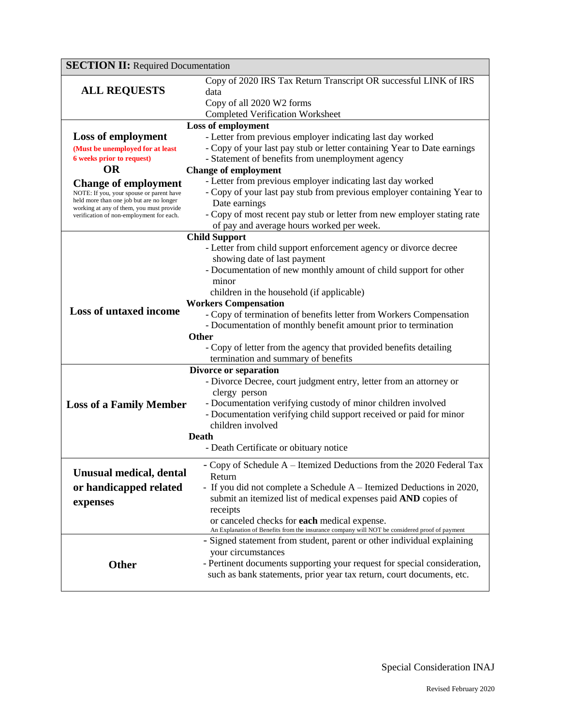| <b>SECTION II: Required Documentation</b>                                            |                                                                                               |  |  |  |
|--------------------------------------------------------------------------------------|-----------------------------------------------------------------------------------------------|--|--|--|
|                                                                                      | Copy of 2020 IRS Tax Return Transcript OR successful LINK of IRS                              |  |  |  |
| <b>ALL REQUESTS</b>                                                                  | data                                                                                          |  |  |  |
|                                                                                      | Copy of all 2020 W2 forms                                                                     |  |  |  |
|                                                                                      | <b>Completed Verification Worksheet</b>                                                       |  |  |  |
|                                                                                      | Loss of employment                                                                            |  |  |  |
| <b>Loss of employment</b>                                                            | - Letter from previous employer indicating last day worked                                    |  |  |  |
| (Must be unemployed for at least                                                     | - Copy of your last pay stub or letter containing Year to Date earnings                       |  |  |  |
| <b>6</b> weeks prior to request)                                                     | - Statement of benefits from unemployment agency                                              |  |  |  |
| <b>OR</b>                                                                            | <b>Change of employment</b>                                                                   |  |  |  |
| <b>Change of employment</b>                                                          | - Letter from previous employer indicating last day worked                                    |  |  |  |
| NOTE: If you, your spouse or parent have<br>held more than one job but are no longer | - Copy of your last pay stub from previous employer containing Year to<br>Date earnings       |  |  |  |
| working at any of them, you must provide                                             | - Copy of most recent pay stub or letter from new employer stating rate                       |  |  |  |
| verification of non-employment for each.                                             | of pay and average hours worked per week.                                                     |  |  |  |
|                                                                                      | <b>Child Support</b>                                                                          |  |  |  |
|                                                                                      | - Letter from child support enforcement agency or divorce decree                              |  |  |  |
|                                                                                      | showing date of last payment                                                                  |  |  |  |
|                                                                                      | - Documentation of new monthly amount of child support for other                              |  |  |  |
|                                                                                      | minor                                                                                         |  |  |  |
|                                                                                      | children in the household (if applicable)                                                     |  |  |  |
|                                                                                      | <b>Workers Compensation</b>                                                                   |  |  |  |
| <b>Loss of untaxed income</b>                                                        | - Copy of termination of benefits letter from Workers Compensation                            |  |  |  |
|                                                                                      | - Documentation of monthly benefit amount prior to termination                                |  |  |  |
| Other                                                                                |                                                                                               |  |  |  |
|                                                                                      | - Copy of letter from the agency that provided benefits detailing                             |  |  |  |
|                                                                                      | termination and summary of benefits                                                           |  |  |  |
| Divorce or separation                                                                |                                                                                               |  |  |  |
|                                                                                      | - Divorce Decree, court judgment entry, letter from an attorney or                            |  |  |  |
|                                                                                      | clergy person<br>- Documentation verifying custody of minor children involved                 |  |  |  |
| <b>Loss of a Family Member</b>                                                       | - Documentation verifying child support received or paid for minor                            |  |  |  |
|                                                                                      | children involved                                                                             |  |  |  |
| Death                                                                                |                                                                                               |  |  |  |
|                                                                                      | - Death Certificate or obituary notice                                                        |  |  |  |
|                                                                                      | - Copy of Schedule A – Itemized Deductions from the 2020 Federal Tax                          |  |  |  |
| Unusual medical, dental                                                              | Return                                                                                        |  |  |  |
| or handicapped related                                                               | - If you did not complete a Schedule A – Itemized Deductions in 2020,                         |  |  |  |
|                                                                                      | submit an itemized list of medical expenses paid AND copies of                                |  |  |  |
| expenses                                                                             | receipts                                                                                      |  |  |  |
|                                                                                      | or canceled checks for <b>each</b> medical expense.                                           |  |  |  |
|                                                                                      | An Explanation of Benefits from the insurance company will NOT be considered proof of payment |  |  |  |
|                                                                                      | - Signed statement from student, parent or other individual explaining                        |  |  |  |
|                                                                                      | your circumstances                                                                            |  |  |  |
| Other                                                                                | - Pertinent documents supporting your request for special consideration,                      |  |  |  |
|                                                                                      | such as bank statements, prior year tax return, court documents, etc.                         |  |  |  |
|                                                                                      |                                                                                               |  |  |  |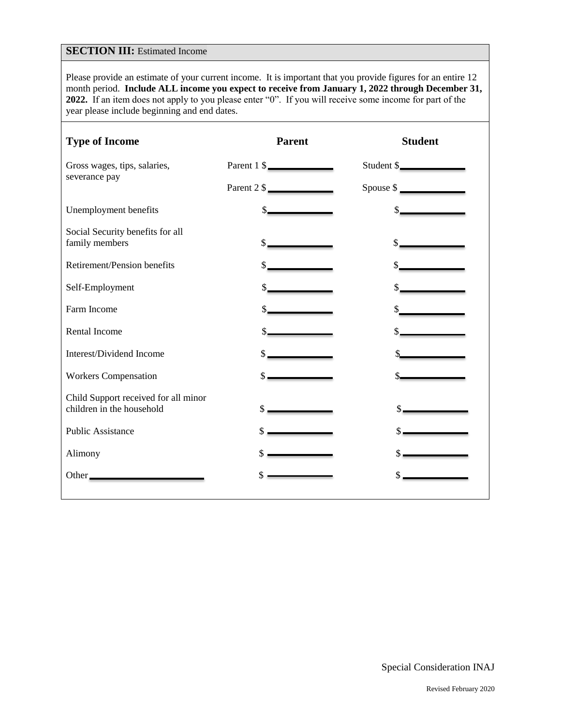## **SECTION III:** Estimated Income

Please provide an estimate of your current income. It is important that you provide figures for an entire 12 month period. **Include ALL income you expect to receive from January 1, 2022 through December 31, 2022.** If an item does not apply to you please enter "0". If you will receive some income for part of the year please include beginning and end dates.

| <b>Type of Income</b>                                             | <b>Parent</b> | <b>Student</b> |
|-------------------------------------------------------------------|---------------|----------------|
| Gross wages, tips, salaries,                                      | Parent 1 \$   | Student \$     |
| severance pay                                                     | Parent 2 \$   | Spouse \$      |
| Unemployment benefits                                             | $\frac{1}{2}$ | s              |
| Social Security benefits for all<br>family members                |               |                |
| Retirement/Pension benefits                                       |               |                |
| Self-Employment                                                   |               |                |
| Farm Income                                                       |               |                |
| Rental Income                                                     |               |                |
| Interest/Dividend Income                                          |               |                |
| <b>Workers Compensation</b>                                       |               |                |
| Child Support received for all minor<br>children in the household |               |                |
| <b>Public Assistance</b>                                          |               |                |
| Alimony                                                           |               |                |
| Other                                                             |               |                |

Special Consideration INAJ